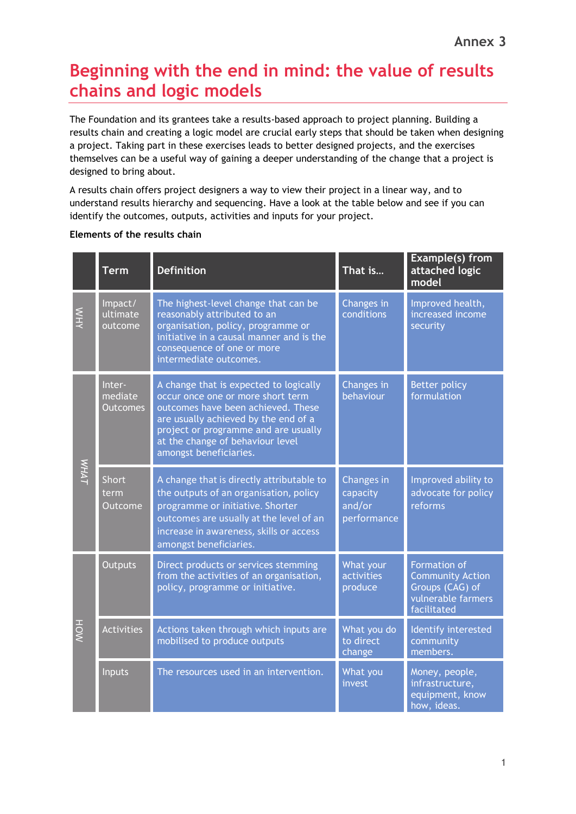## **Beginning with the end in mind: the value of results chains and logic models**

The Foundation and its grantees take a results-based approach to project planning. Building a results chain and creating a logic model are crucial early steps that should be taken when designing a project. Taking part in these exercises leads to better designed projects, and the exercises themselves can be a useful way of gaining a deeper understanding of the change that a project is designed to bring about.

A results chain offers project designers a way to view their project in a linear way, and to understand results hierarchy and sequencing. Have a look at the table below and see if you can identify the outcomes, outputs, activities and inputs for your project.

|               | <b>Term</b>                          | <b>Definition</b>                                                                                                                                                                                                                                               | That is                                         | <b>Example(s)</b> from<br>attached logic<br>model                                                      |  |
|---------------|--------------------------------------|-----------------------------------------------------------------------------------------------------------------------------------------------------------------------------------------------------------------------------------------------------------------|-------------------------------------------------|--------------------------------------------------------------------------------------------------------|--|
| <b>NHY</b>    | Impact/<br>ultimate<br>outcome       | The highest-level change that can be<br>reasonably attributed to an<br>organisation, policy, programme or<br>initiative in a causal manner and is the<br>consequence of one or more<br>intermediate outcomes.                                                   | Changes in<br>conditions                        | Improved health,<br>increased income<br>security                                                       |  |
| <b>V/HVIT</b> | Inter-<br>mediate<br><b>Outcomes</b> | A change that is expected to logically<br>occur once one or more short term<br>outcomes have been achieved. These<br>are usually achieved by the end of a<br>project or programme and are usually<br>at the change of behaviour level<br>amongst beneficiaries. | Changes in<br>behaviour                         | <b>Better policy</b><br>formulation                                                                    |  |
|               | <b>Short</b><br>term<br>Outcome      | A change that is directly attributable to<br>the outputs of an organisation, policy<br>programme or initiative. Shorter<br>outcomes are usually at the level of an<br>increase in awareness, skills or access<br>amongst beneficiaries.                         | Changes in<br>capacity<br>and/or<br>performance | Improved ability to<br>advocate for policy<br>reforms                                                  |  |
| HOV           | <b>Outputs</b>                       | Direct products or services stemming<br>from the activities of an organisation,<br>policy, programme or initiative.                                                                                                                                             | What your<br>activities<br>produce              | <b>Formation of</b><br><b>Community Action</b><br>Groups (CAG) of<br>vulnerable farmers<br>facilitated |  |
|               | <b>Activities</b>                    | Actions taken through which inputs are<br>mobilised to produce outputs                                                                                                                                                                                          | What you do<br>to direct<br>change              | Identify interested<br>community<br>members.                                                           |  |
|               | Inputs                               | The resources used in an intervention.                                                                                                                                                                                                                          | What you<br>invest                              | Money, people,<br>infrastructure,<br>equipment, know<br>how, ideas.                                    |  |

## **Elements of the results chain**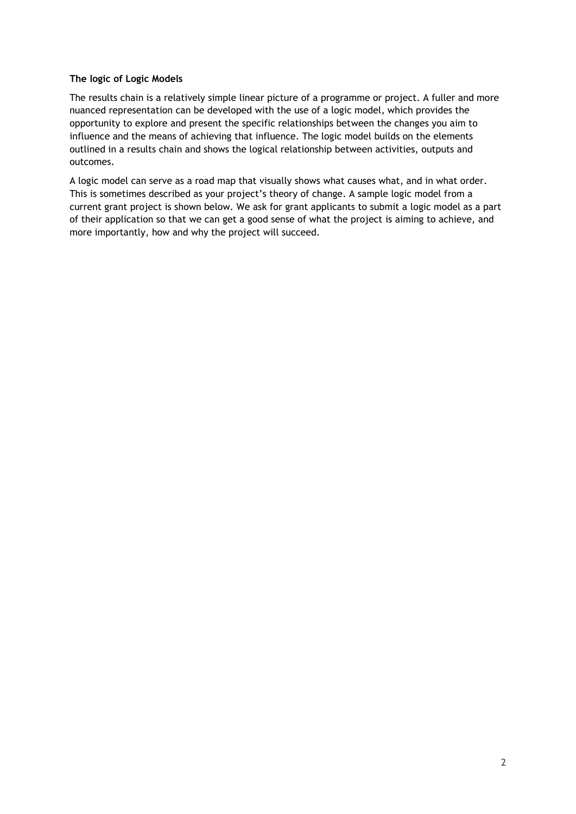## **The logic of Logic Models**

The results chain is a relatively simple linear picture of a programme or project. A fuller and more nuanced representation can be developed with the use of a logic model, which provides the opportunity to explore and present the specific relationships between the changes you aim to influence and the means of achieving that influence. The logic model builds on the elements outlined in a results chain and shows the logical relationship between activities, outputs and outcomes.

A logic model can serve as a road map that visually shows what causes what, and in what order. This is sometimes described as your project's theory of change. A sample logic model from a current grant project is shown below. We ask for grant applicants to submit a logic model as a part of their application so that we can get a good sense of what the project is aiming to achieve, and more importantly, how and why the project will succeed.